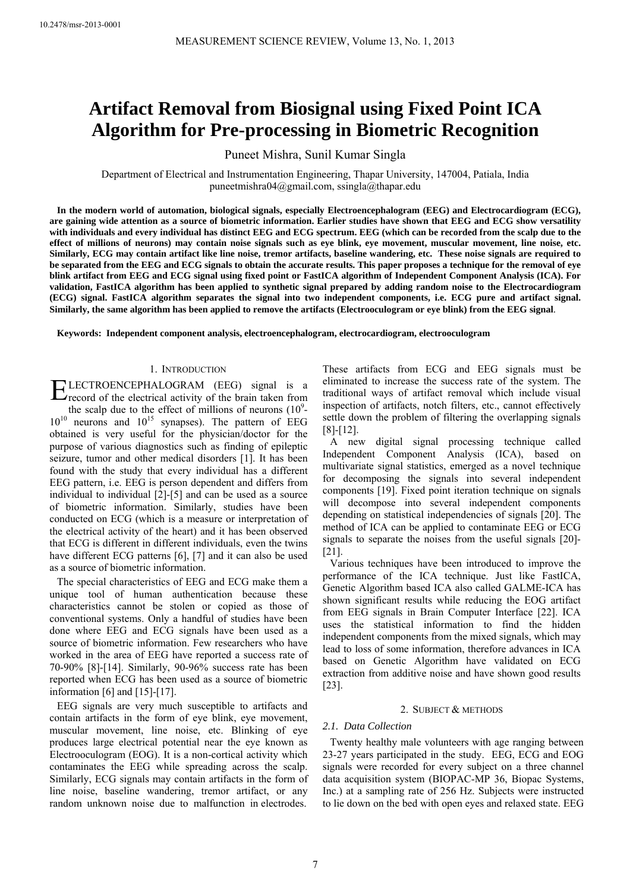# **Artifact Removal from Biosignal using Fixed Point ICA Algorithm for Pre-processing in Biometric Recognition**

Puneet Mishra, Sunil Kumar Singla

Department of Electrical and Instrumentation Engineering, Thapar University, 147004, Patiala, India puneetmishra04@gmail.com, ssingla@thapar.edu

**In the modern world of automation, biological signals, especially Electroencephalogram (EEG) and Electrocardiogram (ECG), are gaining wide attention as a source of biometric information. Earlier studies have shown that EEG and ECG show versatility with individuals and every individual has distinct EEG and ECG spectrum. EEG (which can be recorded from the scalp due to the effect of millions of neurons) may contain noise signals such as eye blink, eye movement, muscular movement, line noise, etc. Similarly, ECG may contain artifact like line noise, tremor artifacts, baseline wandering, etc. These noise signals are required to be separated from the EEG and ECG signals to obtain the accurate results. This paper proposes a technique for the removal of eye blink artifact from EEG and ECG signal using fixed point or FastICA algorithm of Independent Component Analysis (ICA). For validation, FastICA algorithm has been applied to synthetic signal prepared by adding random noise to the Electrocardiogram (ECG) signal. FastICA algorithm separates the signal into two independent components, i.e. ECG pure and artifact signal. Similarly, the same algorithm has been applied to remove the artifacts (Electrooculogram or eye blink) from the EEG signal**.

**Keywords: Independent component analysis, electroencephalogram, electrocardiogram, electrooculogram** 

# 1. INTRODUCTION

LECTROENCEPHALOGRAM (EEG) signal is a **ELECTROENCEPHALOGRAM** (EEG) signal is a record of the electrical activity of the brain taken from the scalp due to the effect of millions of neurons  $(10^9 10^{10}$  neurons and  $10^{15}$  synapses). The pattern of EEG obtained is very useful for the physician/doctor for the purpose of various diagnostics such as finding of epileptic seizure, tumor and other medical disorders [1]. It has been found with the study that every individual has a different EEG pattern, i.e. EEG is person dependent and differs from individual to individual [2]-[5] and can be used as a source of biometric information. Similarly, studies have been conducted on ECG (which is a measure or interpretation of the electrical activity of the heart) and it has been observed that ECG is different in different individuals, even the twins have different ECG patterns [6], [7] and it can also be used as a source of biometric information.

The special characteristics of EEG and ECG make them a unique tool of human authentication because these characteristics cannot be stolen or copied as those of conventional systems. Only a handful of studies have been done where EEG and ECG signals have been used as a source of biometric information. Few researchers who have worked in the area of EEG have reported a success rate of 70-90% [8]-[14]. Similarly, 90-96% success rate has been reported when ECG has been used as a source of biometric information [6] and [15]-[17].

EEG signals are very much susceptible to artifacts and contain artifacts in the form of eye blink, eye movement, muscular movement, line noise, etc. Blinking of eye produces large electrical potential near the eye known as Electrooculogram (EOG). It is a non-cortical activity which contaminates the EEG while spreading across the scalp. Similarly, ECG signals may contain artifacts in the form of line noise, baseline wandering, tremor artifact, or any random unknown noise due to malfunction in electrodes.

These artifacts from ECG and EEG signals must be eliminated to increase the success rate of the system. The traditional ways of artifact removal which include visual inspection of artifacts, notch filters, etc., cannot effectively settle down the problem of filtering the overlapping signals [8]-[12].

A new digital signal processing technique called Independent Component Analysis (ICA), based on multivariate signal statistics, emerged as a novel technique for decomposing the signals into several independent components [19]. Fixed point iteration technique on signals will decompose into several independent components depending on statistical independencies of signals [20]. The method of ICA can be applied to contaminate EEG or ECG signals to separate the noises from the useful signals [20]- [21].

Various techniques have been introduced to improve the performance of the ICA technique. Just like FastICA, Genetic Algorithm based ICA also called GALME-ICA has shown significant results while reducing the EOG artifact from EEG signals in Brain Computer Interface [22]. ICA uses the statistical information to find the hidden independent components from the mixed signals, which may lead to loss of some information, therefore advances in ICA based on Genetic Algorithm have validated on ECG extraction from additive noise and have shown good results [23].

## 2. SUBJECT & METHODS

# *2.1. Data Collection*

Twenty healthy male volunteers with age ranging between 23-27 years participated in the study. EEG, ECG and EOG signals were recorded for every subject on a three channel data acquisition system (BIOPAC-MP 36, Biopac Systems, Inc.) at a sampling rate of 256 Hz. Subjects were instructed to lie down on the bed with open eyes and relaxed state. EEG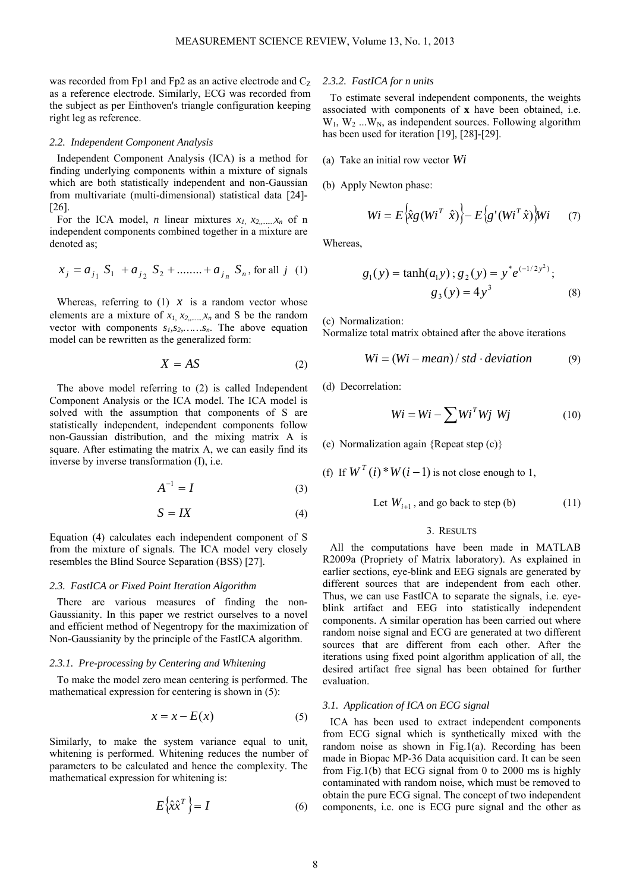was recorded from Fp1 and Fp2 as an active electrode and  $C_Z$ as a reference electrode. Similarly, ECG was recorded from the subject as per Einthoven's triangle configuration keeping right leg as reference.

#### *2.2. Independent Component Analysis*

Independent Component Analysis (ICA) is a method for finding underlying components within a mixture of signals which are both statistically independent and non-Gaussian from multivariate (multi-dimensional) statistical data [24]- [26].

For the ICA model, *n* linear mixtures  $x_1, x_2, \ldots, x_n$  of n independent components combined together in a mixture are denoted as;

$$
x_j = a_{j_1} S_1 + a_{j_2} S_2 + \dots + a_{j_n} S_n
$$
, for all j (1)

Whereas, referring to  $(1)$  *x* is a random vector whose elements are a mixture of  $x_1, x_2, \ldots, x_n$  and S be the random vector with components  $s_1, s_2, \ldots, s_n$ . The above equation model can be rewritten as the generalized form:

$$
X = AS \tag{2}
$$

The above model referring to (2) is called Independent Component Analysis or the ICA model. The ICA model is solved with the assumption that components of S are statistically independent, independent components follow non-Gaussian distribution, and the mixing matrix A is square. After estimating the matrix A, we can easily find its inverse by inverse transformation (I), i.e.

$$
A^{-1} = I \tag{3}
$$

$$
S = IX \tag{4}
$$

Equation (4) calculates each independent component of S from the mixture of signals. The ICA model very closely resembles the Blind Source Separation (BSS) [27].

## *2.3. FastICA or Fixed Point Iteration Algorithm*

There are various measures of finding the non-Gaussianity. In this paper we restrict ourselves to a novel and efficient method of Negentropy for the maximization of Non-Gaussianity by the principle of the FastICA algorithm.

## *2.3.1. Pre-processing by Centering and Whitening*

To make the model zero mean centering is performed. The mathematical expression for centering is shown in (5):

$$
x = x - E(x) \tag{5}
$$

Similarly, to make the system variance equal to unit, whitening is performed. Whitening reduces the number of parameters to be calculated and hence the complexity. The mathematical expression for whitening is:

$$
E\left\{\hat{x}\hat{x}^T\right\} = I\tag{6}
$$

# *2.3.2. FastICA for n units*

To estimate several independent components, the weights associated with components of **x** have been obtained, i.e.  $W_1, W_2, \ldots, W_N$ , as independent sources. Following algorithm has been used for iteration [19], [28]-[29].

- (a) Take an initial row vector *Wi*
- (b) Apply Newton phase:

$$
Wi = E\left\{\hat{\chi}_g\left(Wi^T \ \hat{x}\right)\right\} - E\left\{g'(Wi^T \hat{x})\right\} Wi \tag{7}
$$

Whereas,

$$
g_1(y) = \tanh(a_1y)
$$
;  $g_2(y) = y^* e^{(-1/2y^2)}$ ;  
 $g_3(y) = 4y^3$  (8)

(c) Normalization:

Normalize total matrix obtained after the above iterations

$$
Wi = (Wi - mean) / std \cdot deviation
$$
 (9)

(d) Decorrelation:

$$
Wi = Wi - \sum Wi^T Wj Wj \qquad (10)
$$

(e) Normalization again {Repeat step (c)}

(f) If  $W^T(i) * W(i-1)$  is not close enough to 1,

Let 
$$
W_{i+1}
$$
, and go back to step (b) (11)

## 3. RESULTS

All the computations have been made in MATLAB R2009a (Propriety of Matrix laboratory). As explained in earlier sections, eye-blink and EEG signals are generated by different sources that are independent from each other. Thus, we can use FastICA to separate the signals, i.e. eyeblink artifact and EEG into statistically independent components. A similar operation has been carried out where random noise signal and ECG are generated at two different sources that are different from each other. After the iterations using fixed point algorithm application of all, the desired artifact free signal has been obtained for further evaluation.

## *3.1. Application of ICA on ECG signal*

ICA has been used to extract independent components from ECG signal which is synthetically mixed with the random noise as shown in Fig.1(a). Recording has been made in Biopac MP-36 Data acquisition card. It can be seen from Fig.1(b) that ECG signal from 0 to 2000 ms is highly contaminated with random noise, which must be removed to obtain the pure ECG signal. The concept of two independent components, i.e. one is ECG pure signal and the other as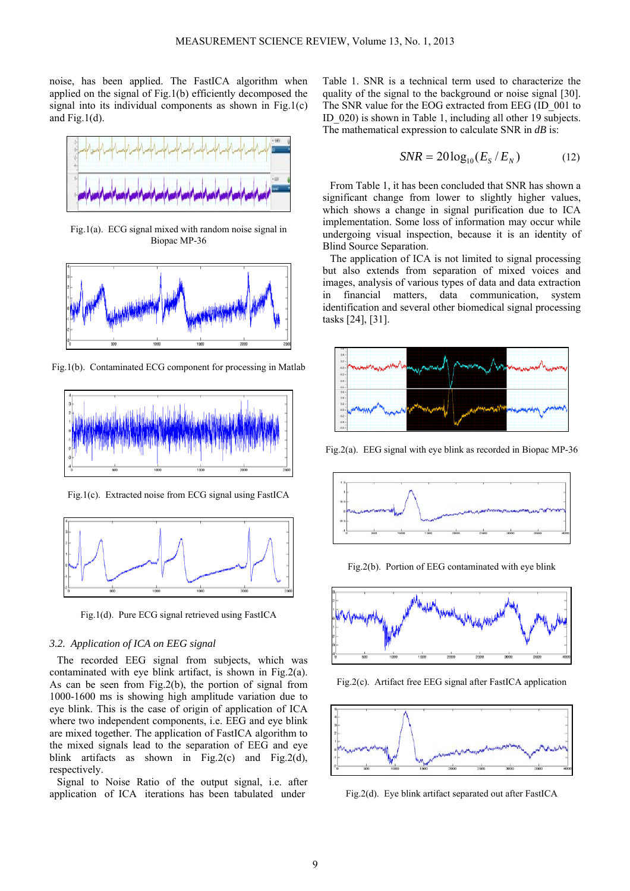noise, has been applied. The FastICA algorithm when applied on the signal of Fig.1(b) efficiently decomposed the signal into its individual components as shown in Fig.1(c) and Fig.1 $(d)$ .



Fig.1(a). ECG signal mixed with random noise signal in Biopac MP-36



Fig.1(b). Contaminated ECG component for processing in Matlab



Fig.1(c). Extracted noise from ECG signal using FastICA



Fig.1(d). Pure ECG signal retrieved using FastICA

## *3.2. Application of ICA on EEG signal*

The recorded EEG signal from subjects, which was contaminated with eye blink artifact, is shown in Fig.2(a). As can be seen from Fig.2(b), the portion of signal from 1000-1600 ms is showing high amplitude variation due to eye blink. This is the case of origin of application of ICA where two independent components, i.e. EEG and eye blink are mixed together. The application of FastICA algorithm to the mixed signals lead to the separation of EEG and eye blink artifacts as shown in Fig.2(c) and Fig.2(d), respectively.

Signal to Noise Ratio of the output signal, i.e. after application of ICA iterations has been tabulated under

Table 1. SNR is a technical term used to characterize the quality of the signal to the background or noise signal [30]. The SNR value for the EOG extracted from EEG (ID\_001 to ID\_020) is shown in Table 1, including all other 19 subjects. The mathematical expression to calculate SNR in *dB* is:

$$
SNR = 20\log_{10}(E_s/E_N) \tag{12}
$$

From Table 1, it has been concluded that SNR has shown a significant change from lower to slightly higher values, which shows a change in signal purification due to ICA implementation. Some loss of information may occur while undergoing visual inspection, because it is an identity of Blind Source Separation.

The application of ICA is not limited to signal processing but also extends from separation of mixed voices and images, analysis of various types of data and data extraction in financial matters, data communication, system identification and several other biomedical signal processing tasks [24], [31].



Fig.2(a). EEG signal with eye blink as recorded in Biopac MP-36



Fig.2(b). Portion of EEG contaminated with eye blink



Fig.2(c). Artifact free EEG signal after FastICA application



Fig.2(d). Eye blink artifact separated out after FastICA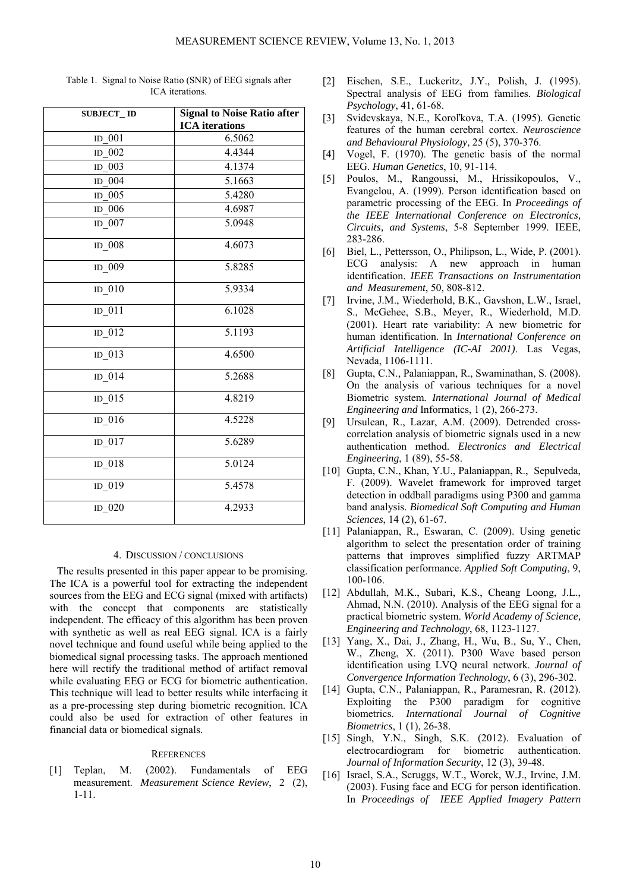| <b>SUBJECT_ID</b> | <b>Signal to Noise Ratio after</b> |
|-------------------|------------------------------------|
|                   | <b>ICA</b> iterations              |
| ID 001            | 6.5062                             |
| ID 002            | 4.4344                             |
| ID 003            | 4.1374                             |
| ID 004            | 5.1663                             |
| ID $005$          | 5.4280                             |
| ID 006            | 4.6987                             |
| $ID_007$          | 5.0948                             |
| ID 008            | 4.6073                             |
| $ID_009$          | 5.8285                             |
| ID $010$          | 5.9334                             |
| $ID_011$          | 6.1028                             |
| $ID_012$          | 5.1193                             |
| $ID_013$          | 4.6500                             |
| $ID_014$          | 5.2688                             |
| $ID_015$          | 4.8219                             |
| $ID_016$          | 4.5228                             |
| $ID_017$          | 5.6289                             |
| $ID_018$          | 5.0124                             |
| $ID_019$          | 5.4578                             |
| $ID_020$          | 4.2933                             |

Table 1. Signal to Noise Ratio (SNR) of EEG signals after ICA iterations.

## 4. DISCUSSION / CONCLUSIONS

The results presented in this paper appear to be promising. The ICA is a powerful tool for extracting the independent sources from the EEG and ECG signal (mixed with artifacts) with the concept that components are statistically independent. The efficacy of this algorithm has been proven with synthetic as well as real EEG signal. ICA is a fairly novel technique and found useful while being applied to the biomedical signal processing tasks. The approach mentioned here will rectify the traditional method of artifact removal while evaluating EEG or ECG for biometric authentication. This technique will lead to better results while interfacing it as a pre-processing step during biometric recognition. ICA could also be used for extraction of other features in financial data or biomedical signals.

## **REFERENCES**

[1] Teplan, M. (2002). Fundamentals of EEG measurement. *Measurement Science Review*, 2 (2), 1-11.

- [2] Eischen, S.E., Luckeritz, J.Y., Polish, J. (1995). Spectral analysis of EEG from families. *Biological Psychology*, 41, 61-68.
- [3] Svidevskaya, N.E., Koroľkova, T.A. (1995). Genetic features of the human cerebral cortex. *Neuroscience and Behavioural Physiology*, 25 (5), 370-376.
- [4] Vogel, F. (1970). The genetic basis of the normal EEG. *Human Genetics*, 10, 91-114.
- [5] Poulos, M., Rangoussi, M., Hrissikopoulos, V., Evangelou, A. (1999). Person identification based on parametric processing of the EEG. In *Proceedings of the IEEE International Conference on Electronics, Circuits, and Systems*, 5-8 September 1999. IEEE, 283-286.
- [6] Biel, L., Pettersson, O., Philipson, L., Wide, P. (2001). ECG analysis: A new approach in human identification. *IEEE Transactions on Instrumentation and Measurement*, 50, 808-812.
- [7] Irvine, J.M., Wiederhold, B.K., Gavshon, L.W., Israel, S., McGehee, S.B., Meyer, R., Wiederhold, M.D. (2001). Heart rate variability: A new biometric for human identification. In *International Conference on Artificial Intelligence (IC-AI 2001)*. Las Vegas, Nevada, 1106-1111.
- [8] Gupta, C.N., Palaniappan, R., Swaminathan, S. (2008). On the analysis of various techniques for a novel Biometric system. *International Journal of Medical Engineering and* Informatics, 1 (2), 266-273.
- [9] Ursulean, R., Lazar, A.M. (2009). Detrended crosscorrelation analysis of biometric signals used in a new authentication method. *Electronics and Electrical Engineering*, 1 (89), 55-58.
- [10] Gupta, C.N., Khan, Y.U., Palaniappan, R., Sepulveda, F. (2009). Wavelet framework for improved target detection in oddball paradigms using P300 and gamma band analysis. *Biomedical Soft Computing and Human Sciences*, 14 (2), 61-67.
- [11] Palaniappan, R., Eswaran, C. (2009). Using genetic algorithm to select the presentation order of training patterns that improves simplified fuzzy ARTMAP classification performance. *Applied Soft Computing*, 9, 100-106.
- [12] Abdullah, M.K., Subari, K.S., Cheang Loong, J.L., Ahmad, N.N. (2010). Analysis of the EEG signal for a practical biometric system. *World Academy of Science, Engineering and Technology*, 68, 1123-1127.
- [13] Yang, X., Dai, J., Zhang, H., Wu, B., Su, Y., Chen, W., Zheng, X. (2011). P300 Wave based person identification using LVQ neural network. *Journal of Convergence Information Technology*, 6 (3), 296-302.
- [14] Gupta, C.N., Palaniappan, R., Paramesran, R. (2012). Exploiting the P300 paradigm for cognitive biometrics. *International Journal of Cognitive Biometrics*, 1 (1), 26-38.
- [15] Singh, Y.N., Singh, S.K. (2012). Evaluation of electrocardiogram for biometric authentication. *Journal of Information Security*, 12 (3), 39-48.
- [16] Israel, S.A., Scruggs, W.T., Worck, W.J., Irvine, J.M. (2003). Fusing face and ECG for person identification. In *Proceedings of IEEE Applied Imagery Pattern*